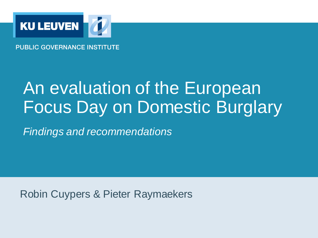

**PUBLIC GOVERNANCE INSTITUTE** 

### An evaluation of the European Focus Day on Domestic Burglary

*Findings and recommendations*

Robin Cuypers & Pieter Raymaekers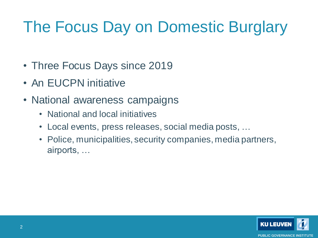### The Focus Day on Domestic Burglary

- Three Focus Days since 2019
- An EUCPN initiative
- National awareness campaigns
	- National and local initiatives
	- Local events, press releases, social media posts, …
	- Police, municipalities, security companies, media partners, airports, …

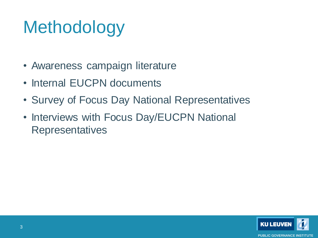# **Methodology**

- Awareness campaign literature
- Internal EUCPN documents
- Survey of Focus Day National Representatives
- Interviews with Focus Day/EUCPN National **Representatives**

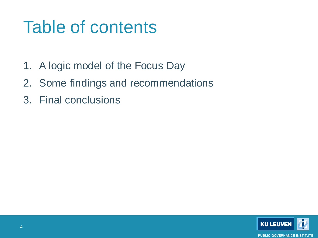## Table of contents

- 1. A logic model of the Focus Day
- 2. Some findings and recommendations
- 3. Final conclusions

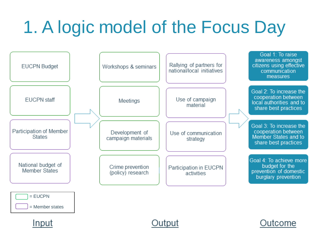# 1. A logic model of the Focus Day







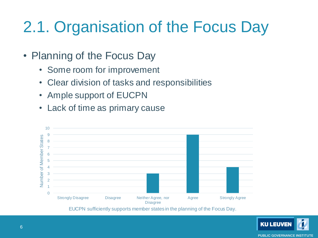- Planning of the Focus Day
	- Some room for improvement
	- Clear division of tasks and responsibilities
	- Ample support of EUCPN
	- Lack of time as primary cause



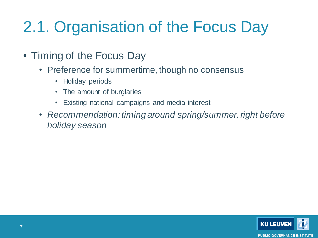- Timing of the Focus Day
	- Preference for summertime, though no consensus
		- Holiday periods
		- The amount of burglaries
		- Existing national campaigns and media interest
	- *Recommendation: timing around spring/summer, right before holiday season*

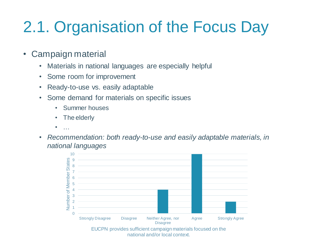- Campaign material
	- Materials in national languages are especially helpful
	- Some room for improvement
	- Ready-to-use vs. easily adaptable
	- Some demand for materials on specific issues
		- Summer houses
		- The elderly
		- $\bullet$  ……
	- *Recommendation: both ready-to-use and easily adaptable materials, in national languages*

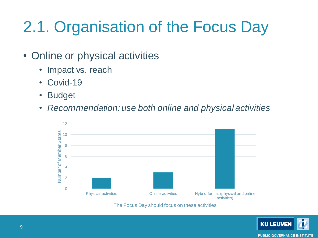- Online or physical activities
	- Impact vs. reach
	- Covid-19
	- Budget
	- *Recommendation: use both online and physical activities*



The Focus Day should focus on these activities.

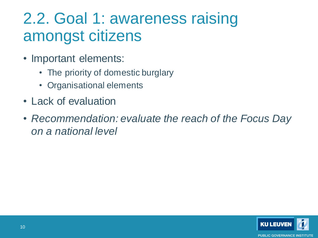#### 2.2. Goal 1: awareness raising amongst citizens

- Important elements:
	- The priority of domestic burglary
	- Organisational elements
- Lack of evaluation
- *Recommendation: evaluate the reach of the Focus Day on a national level*

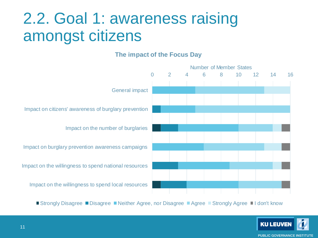#### 2.2. Goal 1: awareness raising amongst citizens

#### **The impact of the Focus Day**



■ Strongly Disagree ■ Disagree ■ Neither Agree, nor Disagree ■ Agree ■ Strongly Agree ■ I don't know

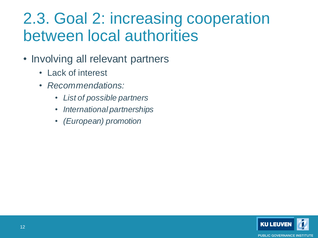#### 2.3. Goal 2: increasing cooperation between local authorities

- Involving all relevant partners
	- Lack of interest
	- *Recommendations:* 
		- *List of possible partners*
		- *International partnerships*
		- *(European) promotion*

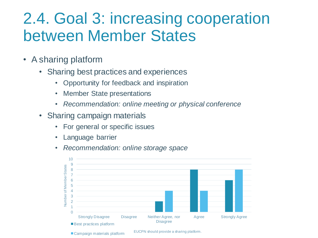#### 2.4. Goal 3: increasing cooperation between Member States

- A sharing platform
	- Sharing best practices and experiences
		- Opportunity for feedback and inspiration
		- Member State presentations
		- *Recommendation: online meeting or physical conference*
	- Sharing campaign materials
		- For general or specific issues
		- **Language barrier**
		- *Recommendation: online storage space*

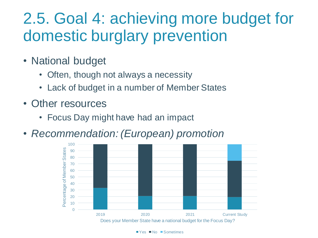#### 2.5. Goal 4: achieving more budget for domestic burglary prevention

- National budget
	- Often, though not always a necessity
	- Lack of budget in a number of Member States
- Other resources
	- Focus Day might have had an impact
- *Recommendation: (European) promotion*

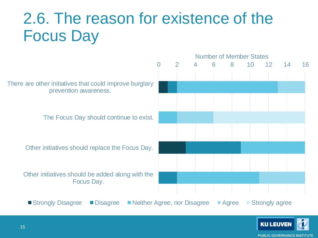#### 2.6. The reason for existence of the Focus Day



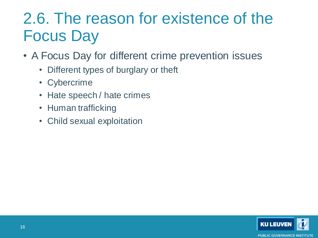#### 2.6. The reason for existence of the Focus Day

- A Focus Day for different crime prevention issues
	- Different types of burglary or theft
	- Cybercrime
	- Hate speech / hate crimes
	- Human trafficking
	- Child sexual exploitation

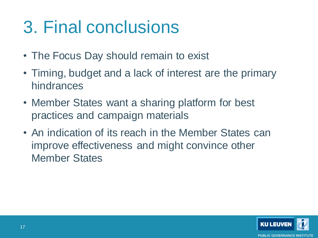# 3. Final conclusions

- The Focus Day should remain to exist
- Timing, budget and a lack of interest are the primary hindrances
- Member States want a sharing platform for best practices and campaign materials
- An indication of its reach in the Member States can improve effectiveness and might convince other Member States